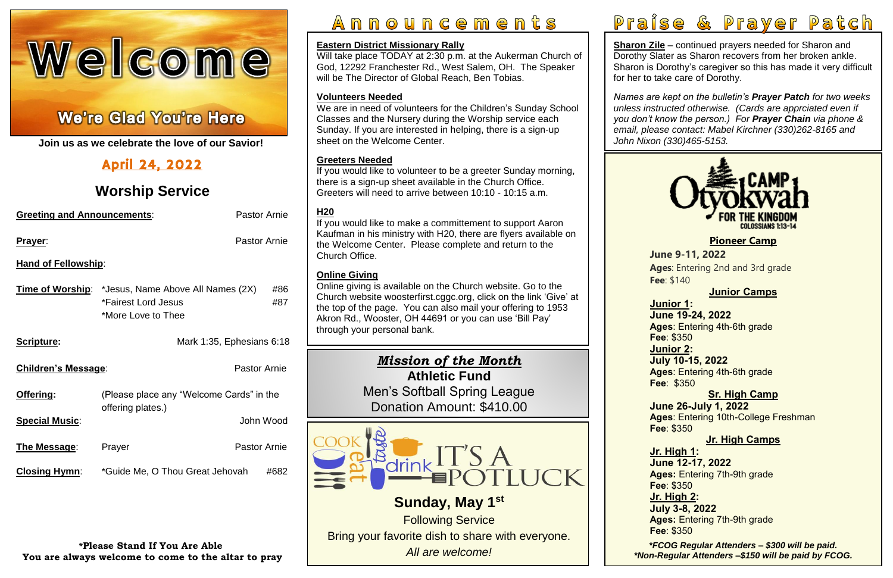# Welcome

# Ì

֦ **Join us as we celebrate the love of our Savior!**

# April 24, 2022

# **Worship Service**

| <b>Pastor Arnie</b><br><b>Greeting and Announcements:</b> |                                                                                                        |                     |            |  |
|-----------------------------------------------------------|--------------------------------------------------------------------------------------------------------|---------------------|------------|--|
| <u>Prayer:</u>                                            |                                                                                                        | Pastor Arnie        |            |  |
| <b>Hand of Fellowship:</b>                                |                                                                                                        |                     |            |  |
|                                                           | <b>Time of Worship:</b> *Jesus, Name Above All Names (2X)<br>*Fairest Lord Jesus<br>*More Love to Thee |                     | #86<br>#87 |  |
| Scripture:                                                | Mark 1:35, Ephesians 6:18                                                                              |                     |            |  |
| <b>Children's Message:</b>                                |                                                                                                        | <b>Pastor Arnie</b> |            |  |
| Offering:                                                 | (Please place any "Welcome Cards" in the                                                               |                     |            |  |
| <b>Special Music:</b>                                     | offering plates.)                                                                                      | John Wood           |            |  |
| <b>The Message:</b>                                       | Prayer                                                                                                 | <b>Pastor Arnie</b> |            |  |
| <b>Closing Hymn:</b>                                      | *Guide Me, O Thou Great Jehovah                                                                        |                     | #682       |  |

**Sharon Zile** – continued prayers needed for Sharon and Dorothy Slater as Sharon recovers from her broken ankle. Sharon is Dorothy's caregiver so this has made it very difficult for her to take care of Dorothy.

**\*Please Stand If You Are Able You are always welcome to come to the altar to pray**

# Announcements



 *Names are kept on the bulletin's Prayer Patch for two weeks unless instructed otherwise. (Cards are apprciated even if you don't know the person.) For Prayer Chain via phone & email, please contact: Mabel Kirchner (330)262-8165 and John Nixon (330)465-5153.*

# **Eastern District Missionary Rally**

Will take place TODAY at 2:30 p.m. at the Aukerman Church of God, 12292 Franchester Rd., West Salem, OH. The Speaker will be The Director of Global Reach, Ben Tobias.

### **Volunteers Needed**

We are in need of volunteers for the Children's Sunday School Classes and the Nursery during the Worship service each Sunday. If you are interested in helping, there is a sign-up sheet on the Welcome Center.

**Ages**: Entering 2nd and 3rd grade

## **Greeters Needed**

 **Junior Camps Ages**: Entering 4th-6th grade  **Ages**: Entering 4th-6th grade  **Sr. High Camp Ages**: Entering 10th-College Freshman  **Jr. High Camps Ages:** Entering 7th-9th grade **July 3-8, 2022**<br>**Ages:** Entering 7th-9th grade  **Fee**: \$140 **Junior 1: June 19-24, 2022 Fee**: \$350 **Junior 2: July 10-15, 2022 Fee**: \$350 **June 26-July 1, 2022 Fee**: \$350 **Jr. High 1: June 12-17, 2022 Fee**: \$350 **Jr. High 2: July 3-8, 2022 Fee**: \$350



If you would like to volunteer to be a greeter Sunday morning, there is a sign-up sheet available in the Church Office. Greeters will need to arrive between 10:10 - 10:15 a.m.

> *\*FCOG Regular Attenders – \$300 will be paid. \*Non-Regular Attenders –\$150 will be paid by FCOG.*

 Donation Amount: \$410.00 Men's Softball Spring League

# **H20**

If you would like to make a committement to support Aaron Kaufman in his ministry with H20, there are flyers available on the Welcome Center. Please complete and return to the Church Office.

# **Online Giving**

Online giving is available on the Church website. Go to the Church website [woosterfirst.cggc.org,](http://woosterfirst.cggc.org/) click on the link 'Give' at the top of the page. You can also mail your offering to 1953 Akron Rd., Wooster, OH 44691 or you can use 'Bill Pay' through your personal bank.

**[Pioneer Camp](https://www.otyokwah.org/)**

**June 9-11, 2022**

# *Mission of the Month* **Athletic Fund**



Bring your favorite dish to share with everyone. *All are welcome!*

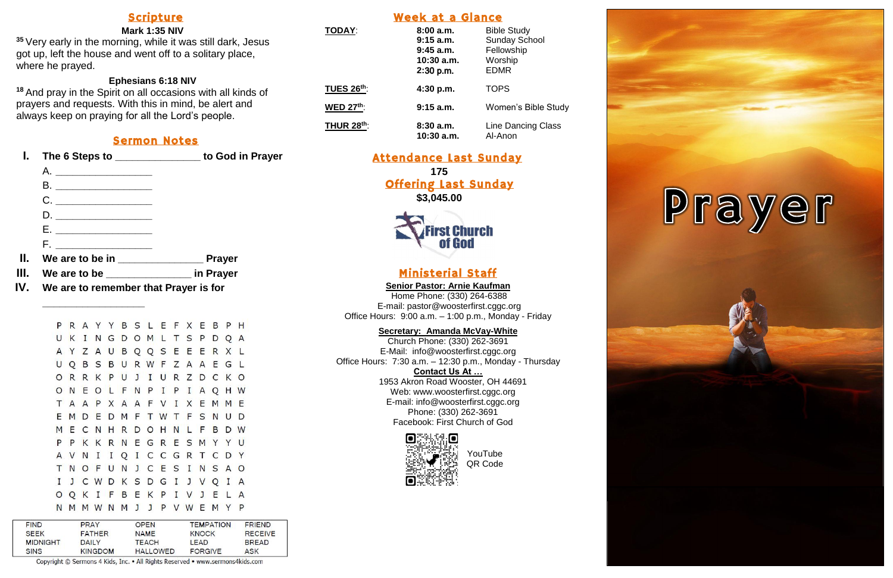# Scripture

### **Mark 1:35 NIV**

**<sup>35</sup>** Very early in the morning, while it was still dark, Jesus got up, left the house and went off to a solitary place, where he prayed.

### **Ephesians 6:18 NIV**

**<sup>18</sup>** And pray in the Spirit on all occasions with all kinds of prayers and requests. With this in mind, be alert and always keep on praying for all the Lord's people.

# Sermon Notes

- **I. The 6 Steps to \_\_\_\_\_\_\_\_\_\_\_\_\_\_\_ to God in Prayer**
	- A. **\_\_\_\_\_\_\_\_\_\_\_\_\_\_\_\_\_** B. **\_\_\_\_\_\_\_\_\_\_\_\_\_\_\_\_\_** C. **\_\_\_\_\_\_\_\_\_\_\_\_\_\_\_\_\_** D. **\_\_\_\_\_\_\_\_\_\_\_\_\_\_\_\_\_** E. **\_\_\_\_\_\_\_\_\_\_\_\_\_\_\_\_\_**
	- F. **\_\_\_\_\_\_\_\_\_\_\_\_\_\_\_\_\_**

- **II. We are to be in \_\_\_\_\_\_\_\_\_\_\_\_\_\_\_ Prayer**
- **III. We are to be \_\_\_\_\_\_\_\_\_\_\_\_\_\_\_ in Prayer**
- **IV. We are to remember that Prayer is for**

|   |     |  |  |  |  | P R A Y Y B S L E F X E B P H |  |     |         |  |
|---|-----|--|--|--|--|-------------------------------|--|-----|---------|--|
| U |     |  |  |  |  | K I N G D O M L T S P D Q A   |  |     |         |  |
|   |     |  |  |  |  | A Y Z A U B Q Q S E E E R X L |  |     |         |  |
|   |     |  |  |  |  | U Q B S B U R W F Z A A E G L |  |     |         |  |
|   |     |  |  |  |  | ORRKPUJIURZDCK                |  |     | $\circ$ |  |
|   |     |  |  |  |  | ONEOLFNPIPIAQHW               |  |     |         |  |
|   |     |  |  |  |  | T A A P X A A F V I X E M     |  |     | M E     |  |
|   |     |  |  |  |  | EMDEDMFTWTFSN                 |  | U   | D       |  |
|   |     |  |  |  |  | MECNHRDOHNLFB                 |  | D W |         |  |
|   | P P |  |  |  |  | KKRNEGRESMYYU                 |  |     |         |  |
|   |     |  |  |  |  | A V N I I Q I C C G R T C D Y |  |     |         |  |
|   |     |  |  |  |  | T N O F U N J C E S I N S A O |  |     |         |  |
| I |     |  |  |  |  | J C W D K S D G I J V Q I A   |  |     |         |  |
|   |     |  |  |  |  | O Q K I F B E K P I V J E L A |  |     |         |  |
|   |     |  |  |  |  | N M M W N M J J P V W E M Y P |  |     |         |  |
|   |     |  |  |  |  |                               |  |     |         |  |

| <b>FIND</b>     | <b>PRAY</b>    | <b>OPEN</b>     | <b>TEMPATION</b> | <b>FRIEND</b>  |  |
|-----------------|----------------|-----------------|------------------|----------------|--|
| <b>SEEK</b>     | <b>FATHER</b>  | <b>NAME</b>     | <b>KNOCK</b>     | <b>RECEIVE</b> |  |
| <b>MIDNIGHT</b> | DAILY          | <b>TEACH</b>    | LEAD             | <b>BREAD</b>   |  |
| SINS            | <b>KINGDOM</b> | <b>HALLOWED</b> | FORGIVE          | ASK            |  |
|                 |                |                 |                  |                |  |

**\_\_\_\_\_\_\_\_\_\_\_\_\_\_\_\_\_\_**

# Week at a Glance

| <b>TODAY:</b>     | 8:00a.m.<br>$9:15$ a.m.<br>$9:45$ a.m.<br>$10:30$ a.m.<br>2:30 p.m. | <b>Bible Study</b><br><b>Sunday School</b><br>Fellowship<br>Worship<br><b>EDMR</b> |
|-------------------|---------------------------------------------------------------------|------------------------------------------------------------------------------------|
| <b>TUES 26th:</b> | 4:30 p.m.                                                           | <b>TOPS</b>                                                                        |
| <b>WED 27th:</b>  | $9:15$ a.m.                                                         | <b>Women's Bible Study</b>                                                         |
| <b>THUR 28th:</b> | 8:30a.m.<br>10:30 a.m.                                              | Line Dancing Class<br>Al-Anon                                                      |

Attendance Last Sunday **175** Offering Last Sunday **\$3,045.00**



# Ministerial Staff

**Senior Pastor: Arnie Kaufman** Home Phone: (330) 264-6388 E-mail: [pastor@woosterfirst.cggc.org](mailto:pastor@woosterfirst.cggc.org)

Office Hours: 9:00 a.m. – 1:00 p.m., Monday - Friday

### **Secretary: Amanda McVay-White**

Church Phone: (330) 262-3691 E-Mail: info@woosterfirst.cggc.org Office Hours: 7:30 a.m. – 12:30 p.m., Monday - Thursday **Contact Us At …** 1953 Akron Road Wooster, OH 44691 Web: [www.woosterfirst.cggc.org](http://www.woosterfirst.cggc.org/) E-mail: info@woosterfirst.cggc.org Phone: (330) 262-3691 Facebook: First Church of God



YouTube QR Code

Copyright © Sermons 4 Kids, Inc. . All Rights Reserved . www.sermons4kids.com